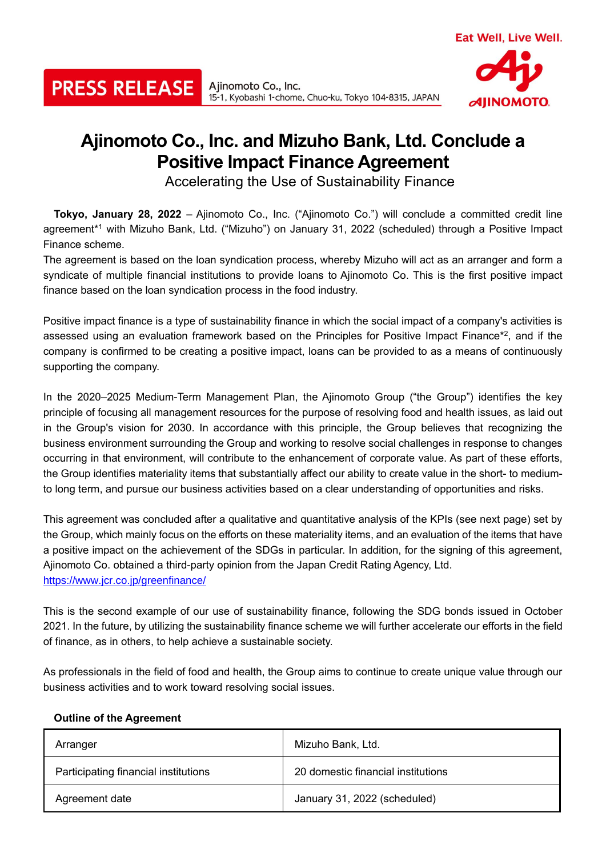

## **Ajinomoto Co., Inc. and Mizuho Bank, Ltd. Conclude a Positive Impact Finance Agreement**

Accelerating the Use of Sustainability Finance

**Tokyo, January 28, 2022** – Ajinomoto Co., Inc. ("Ajinomoto Co.") will conclude a committed credit line agreement\*<sup>1</sup> with Mizuho Bank, Ltd. ("Mizuho") on January 31, 2022 (scheduled) through a Positive Impact Finance scheme.

The agreement is based on the loan syndication process, whereby Mizuho will act as an arranger and form a syndicate of multiple financial institutions to provide loans to Ajinomoto Co. This is the first positive impact finance based on the loan syndication process in the food industry.

Positive impact finance is a type of sustainability finance in which the social impact of a company's activities is assessed using an evaluation framework based on the Principles for Positive Impact Finance\*<sup>2</sup>, and if the company is confirmed to be creating a positive impact, loans can be provided to as a means of continuously supporting the company.

In the 2020–2025 Medium-Term Management Plan, the Ajinomoto Group ("the Group") identifies the key principle of focusing all management resources for the purpose of resolving food and health issues, as laid out in the Group's vision for 2030. In accordance with this principle, the Group believes that recognizing the business environment surrounding the Group and working to resolve social challenges in response to changes occurring in that environment, will contribute to the enhancement of corporate value. As part of these efforts, the Group identifies materiality items that substantially affect our ability to create value in the short- to mediumto long term, and pursue our business activities based on a clear understanding of opportunities and risks.

This agreement was concluded after a qualitative and quantitative analysis of the KPIs (see next page) set by the Group, which mainly focus on the efforts on these materiality items, and an evaluation of the items that have a positive impact on the achievement of the SDGs in particular. In addition, for the signing of this agreement, Ajinomoto Co. obtained a third-party opinion from the Japan Credit Rating Agency, Ltd. https://www.jcr.co.jp/greenfinance/

This is the second example of our use of sustainability finance, following the SDG bonds issued in October 2021. In the future, by utilizing the sustainability finance scheme we will further accelerate our efforts in the field of finance, as in others, to help achieve a sustainable society.

As professionals in the field of food and health, the Group aims to continue to create unique value through our business activities and to work toward resolving social issues.

## **Outline of the Agreement**

**PRESS RELEASE** 

| Arranger                             | Mizuho Bank, Ltd.                  |
|--------------------------------------|------------------------------------|
| Participating financial institutions | 20 domestic financial institutions |
| Agreement date                       | January 31, 2022 (scheduled)       |